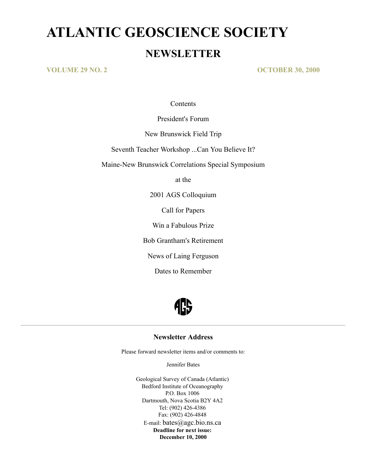# **ATLANTIC GEOSCIENCE SOCIETY NEWSLETTER**

**VOLUME 29 NO. 2 OCTOBER 30, 2000**

**Contents** 

President's Forum

New Brunswick Field Trip

Seventh Teacher Workshop ...Can You Believe It?

Maine-New Brunswick Correlations Special Symposium

at the

2001 AGS Colloquium

Call for Papers

Win a Fabulous Prize

Bob Grantham's Retirement

News of Laing Ferguson

Dates to Remember



# **Newsletter Address**

Please forward newsletter items and/or comments to:

Jennifer Bates

Geological Survey of Canada (Atlantic) Bedford Institute of Oceanography P.O. Box 1006 Dartmouth, Nova Scotia B2Y 4A2 Tel: (902) 426-4386 Fax: (902) 426-4848 E-mail: bates@agc.bio.ns.ca **Deadline for next issue: December 10, 2000**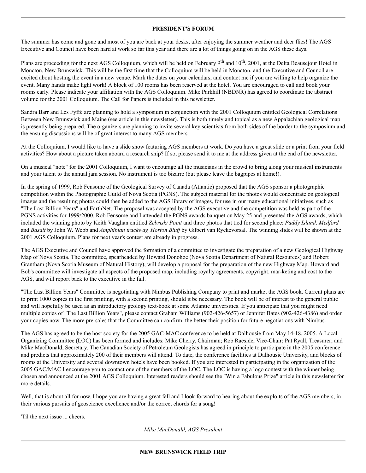#### **PRESIDENT'S FORUM**

The summer has come and gone and most of you are back at your desks, after enjoying the summer weather and deer flies! The AGS Executive and Council have been hard at work so far this year and there are a lot of things going on in the AGS these days.

Plans are proceeding for the next AGS Colloquium, which will be held on February 9<sup>th</sup> and 10<sup>th</sup>, 2001, at the Delta Beausejour Hotel in Moncton, New Brunswick. This will be the first time that the Colloquium will be held in Moncton, and the Executive and Council are excited about hosting the event in a new venue. Mark the dates on your calendars, and contact me if you are willing to help organize the event. Many hands make light work! A block of 100 rooms has been reserved at the hotel. You are encouraged to call and book your rooms early. Please indicate your affiliation with the AGS Colloquium. Mike Parkhill (NBDNR) has agreed to coordinate the abstract volume for the 2001 Colloquium. The Call for Papers is included in this newsletter.

Sandra Barr and Les Fyffe are planning to hold a symposium in conjunction with the 2001 Colloquium entitled Geological Correlations Between New Brunswick and Maine (see article in this newsletter). This is both timely and topical as a new Appalachian geological map is presently being prepared. The organizers are planning to invite several key scientists from both sides of the border to the symposium and the ensuing discussions will be of great interest to many AGS members.

At the Colloquium, I would like to have a slide show featuring AGS members at work. Do you have a great slide or a print from your field activities? How about a picture taken aboard a research ship? If so, please send it to me at the address given at the end of the newsletter.

On a musical "note" for the 2001 Colloquium, I want to encourage all the musicians in the crowd to bring along your musical instruments and your talent to the annual jam session. No instrument is too bizarre (but please leave the bagpipes at home!).

In the spring of 1999, Rob Fensome of the Geological Survey of Canada (Atlantic) proposed that the AGS sponsor a photographic competition within the Photographic Guild of Nova Scotia (PGNS). The subject material for the photos would concentrate on geological images and the resulting photos could then be added to the AGS library of images, for use in our many educational initiatives, such as "The Last Billion Years" and EarthNet. The proposal was accepted by the AGS executive and the competition was held as part of the PGNS activities for 1999/2000. Rob Fensome and I attended the PGNS awards banquet on May 25 and presented the AGS awards, which included the winning photo by Keith Vaughan entitled *Zebriski Point* and three photos that tied for second place: *Paddy Island, Medford* and *Basalt* by John W. Webb and *Amphibian trackway, Horton Bluff* by Gilbert van Ryckevorsal. The winning slides will be shown at the 2001 AGS Colloquium. Plans for next year's contest are already in progress.

The AGS Executive and Council have approved the formation of a committee to investigate the preparation of a new Geological Highway Map of Nova Scotia. The committee, spearheaded by Howard Donohoe (Nova Scotia Department of Natural Resources) and Robert Grantham (Nova Scotia Museum of Natural History), will develop a proposal for the preparation of the new Highway Map. Howard and Bob's committee will investigate all aspects of the proposed map, including royalty agreements, copyright, mar-keting and cost to the AGS, and will report back to the executive in the fall.

"The Last Billion Years" Committee is negotiating with Nimbus Publishing Company to print and market the AGS book. Current plans are to print 1000 copies in the first printing, with a second printing, should it be necessary. The book will be of interest to the general public and will hopefully be used as an introductory geology text-book at some Atlantic universities. If you anticipate that you might need multiple copies of "The Last Billion Years", please contact Graham Williams (902-426-5657) or Jennifer Bates (902-426-4386) and order your copies now. The more pre-sales that the Committee can confirm, the better their position for future negotiations with Nimbus.

The AGS has agreed to be the host society for the 2005 GAC-MAC conference to be held at Dalhousie from May 14-18, 2005. A Local Organizing Committee (LOC) has been formed and includes: Mike Cherry, Chairman; Rob Raeside, Vice-Chair; Pat Ryall, Treasurer; and Mike MacDonald, Secretary. The Canadian Society of Petroleum Geologists has agreed in principle to participate in the 2005 conference and predicts that approximately 200 of their members will attend. To date, the conference facilities at Dalhousie University, and blocks of rooms at the University and several downtown hotels have been booked. If you are interested in participating in the organization of the 2005 GAC/MAC I encourage you to contact one of the members of the LOC. The LOC is having a logo contest with the winner being chosen and announced at the 2001 AGS Colloquium. Interested readers should see the "Win a Fabulous Prize" article in this newsletter for more details.

Well, that is about all for now. I hope you are having a great fall and I look forward to hearing about the exploits of the AGS members, in their various pursuits of geoscience excellence and/or the correct chords for a song!

'Til the next issue ... cheers.

*Mike MacDonald, AGS President*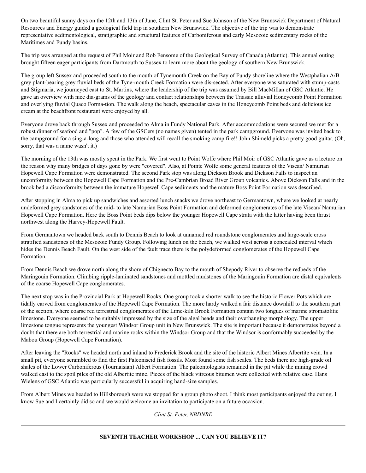On two beautiful sunny days on the 12th and 13th of June, Clint St. Peter and Sue Johnson of the New Brunswick Department of Natural Resources and Energy guided a geological field trip in southern New Brunswick. The objective of the trip was to demonstrate representative sedimentological, stratigraphic and structural features of Carboniferous and early Mesozoic sedimentary rocks of the Maritimes and Fundy basins.

The trip was arranged at the request of Phil Moir and Rob Fensome of the Geological Survey of Canada (Atlantic). This annual outing brought fifteen eager participants from Dartmouth to Sussex to learn more about the geology of southern New Brunswick.

The group left Sussex and proceeded south to the mouth of Tynemouth Creek on the Bay of Fundy shoreline where the Westphalian A/B grey plant-bearing grey fluvial beds of the Tyne-mouth Creek Formation were dis-sected. After everyone was saturated with stump-casts and Stigmaria, we journeyed east to St. Martins, where the leadership of the trip was assumed by Bill MacMillan of GSC Atlantic. He gave an overview with nice dia-grams of the geology and contact relationships between the Triassic alluvial Honeycomb Point Formation and overlying fluvial Quaco Forma-tion. The walk along the beach, spectacular caves in the Honeycomb Point beds and delicious ice cream at the beachfront restaurant were enjoyed by all.

Everyone drove back through Sussex and proceeded to Alma in Fundy National Park. After accommodations were secured we met for a robust dinner of seafood and "pop". A few of the GSCers (no names given) tented in the park campground. Everyone was invited back to the campground for a sing-a-long and those who attended will recall the smoking camp fire!! John Shimeld picks a pretty good guitar. (Oh, sorry, that was a name wasn't it.)

The morning of the 13th was mostly spent in the Park. We first went to Point Wolfe where Phil Moir of GSC Atlantic gave us a lecture on the reason why many bridges of days gone by were "covered". Also, at Pointe Wolfe some general features of the Visean/ Namurian Hopewell Cape Formation were demonstrated. The second Park stop was along Dickson Brook and Dickson Falls to inspect an unconformity between the Hopewell Cape Formation and the Pre-Cambrian Broad River Group volcanics. Above Dickson Falls and in the brook bed a disconformity between the immature Hopewell Cape sediments and the mature Boss Point Formation was described.

After stopping in Alma to pick up sandwiches and assorted lunch snacks we drove northeast to Germantown, where we looked at nearly undeformed grey sandstones of the mid- to late Namurian Boss Point Formation and deformed conglomerates of the late Visean/ Namurian Hopewell Cape Formation. Here the Boss Point beds dips below the younger Hopewell Cape strata with the latter having been thrust northwest along the Harvey-Hopewell Fault.

From Germantown we headed back south to Dennis Beach to look at unnamed red roundstone conglomerates and large-scale cross stratified sandstones of the Mesozoic Fundy Group. Following lunch on the beach, we walked west across a concealed interval which hides the Dennis Beach Fault. On the west side of the fault trace there is the polydeformed conglomerates of the Hopewell Cape Formation.

From Dennis Beach we drove north along the shore of Chignecto Bay to the mouth of Shepody River to observe the redbeds of the Maringouin Formation. Climbing ripple-laminated sandstones and mottled mudstones of the Maringouin Formation are distal equivalents of the coarse Hopewell Cape conglomerates.

The next stop was in the Provincial Park at Hopewell Rocks. One group took a shorter walk to see the historic Flower Pots which are tidally carved from conglomerates of the Hopewell Cape Formation. The more hardy walked a fair distance downhill to the southern part of the section, where coarse red terrestrial conglomerates of the Lime-kiln Brook Formation contain two tongues of marine stromatolitic limestone. Everyone seemed to be suitably impressed by the size of the algal heads and their overhanging morphology. The upper limestone tongue represents the youngest Windsor Group unit in New Brunswick. The site is important because it demonstrates beyond a doubt that there are both terrestrial and marine rocks within the Windsor Group and that the Windsor is conformably succeeded by the Mabou Group (Hopewell Cape Formation).

After leaving the "Rocks" we headed north and inland to Frederick Brook and the site of the historic Albert Mines Albertite vein. In a small pit, everyone scrambled to find the first Paleoniscid fish fossils. Most found some fish scales. The beds there are high-grade oil shales of the Lower Carboniferous (Tournaisian) Albert Formation. The paleontologists remained in the pit while the mining crowd walked east to the spoil piles of the old Albertite mine. Pieces of the black vitreous bitumen were collected with relative ease. Hans Wielens of GSC Atlantic was particularly successful in acquiring hand-size samples.

From Albert Mines we headed to Hillsborough were we stopped for a group photo shoot. I think most participants enjoyed the outing. I know Sue and I certainly did so and we would welcome an invitation to participate on a future occasion.

*Clint St. Peter, NBDNRE*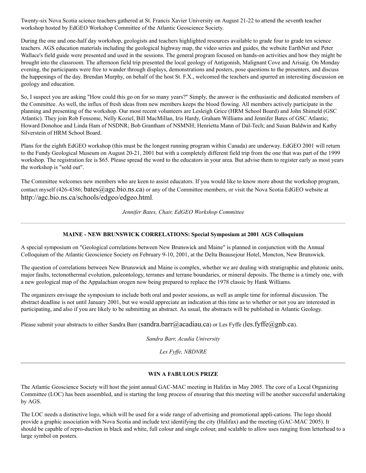Twenty-six Nova Scotia science teachers gathered at St. Francis Xavier University on August 21-22 to attend the seventh teacher workshop hosted by EdGEO Workshop Committee of the Atlantic Geoscience Society.

During the one and one-half day workshop, geologists and teachers highlighted resources available to grade four to grade ten science teachers. AGS education materials including the geological highway map, the video series and guides, the website EarthNet and Peter Wallace's field guide were presented and used in the sessions. The general program focused on hands-on activities and how they might be brought into the classroom. The afternoon field trip presented the local geology of Antigonish, Malignant Cove and Arisaig. On Monday evening, the participants were free to wander through displays, demonstrations and posters, pose questions to the presenters, and discuss the happenings of the day. Brendan Murphy, on behalf of the host St. F.X., welcomed the teachers and spurred an interesting discussion on geology and education.

So, I suspect you are asking "How could this go on for so many years?" Simply, the answer is the enthusiastic and dedicated members of the Committee. As well, the influx of fresh ideas from new members keeps the blood flowing. All members actively participate in the planning and presenting of the workshop. Our most recent volunteers are Lesleigh Grice (HRM School Board) and John Shimeld (GSC Atlantic). They join Rob Fensome, Nelly Koziel, Bill MacMillan, Iris Hardy, Graham Williams and Jennifer Bates of GSC Atlantic; Howard Donohoe and Linda Ham of NSDNR; Bob Grantham of NSMNH; Henrietta Mann of Dal-Tech; and Susan Baldwin and Kathy Silverstein of HRM School Board.

Plans for the eighth EdGEO workshop (this must be the longest running program within Canada) are underway. EdGEO 2001 will return to the Fundy Geological Museum on August 20-21, 2001 but with a completely different field trip from the one that was part of the 1999 workshop. The registration fee is \$65. Please spread the word to the educators in your area. But advise them to register early as most years the workshop is "sold out".

The Committee welcomes new members who are keen to assist educators. If you would like to know more about the workshop program, contact myself (426-4386; bates@agc.bio.ns.ca) or any of the Committee members, or visit the Nova Scotia EdGEO website at http://agc.bio.ns.ca/schools/edgeo/edgeo.html.

*Jennifer Bates, Chair, EdGEO Workshop Committee*

#### **MAINE - NEW BRUNSWICK CORRELATIONS: Special Symposium at 2001 AGS Colloquium**

A special symposium on "Geological correlations between New Brunswick and Maine" is planned in conjunction with the Annual Colloquium of the Atlantic Geoscience Society on February 9-10, 2001, at the Delta Beausejour Hotel, Moncton, New Brunswick.

The question of correlations between New Brunswick and Maine is complex, whether we are dealing with stratigraphic and plutonic units, major faults, tectonothermal evolution, paleontology, terranes and terrane boundaries, or mineral deposits. The theme is a timely one, with a new geological map of the Appalachian orogen now being prepared to replace the 1978 classic by Hank Williams.

The organizers envisage the symposium to include both oral and poster sessions, as well as ample time for informal discussion. The abstract deadline is not until January 2001, but we would appreciate an indication at this time as to whether or not you are interested in participating, and also if you are likely to be submitting an abstract. As usual, the abstracts will be published in Atlantic Geology.

Please submit your abstracts to either Sandra Barr (sandra.barr@acadiau.ca) or Les Fyffe (les.fyffe@gnb.ca).

*Sandra Barr, Acadia University*

*Les Fyffe, NBDNRE*

#### **WIN A FABULOUS PRIZE**

The Atlantic Geoscience Society will host the joint annual GAC-MAC meeting in Halifax in May 2005. The core of a Local Organizing Committee (LOC) has been assembled, and is starting the long process of ensuring that this meeting will be another successful undertaking by AGS.

The LOC needs a distinctive logo, which will be used for a wide range of advertising and promotional appli-cations. The logo should provide a graphic association with Nova Scotia and include text identifying the city (Halifax) and the meeting (GAC-MAC 2005). It should be capable of repro-duction in black and white, full colour and single colour, and scalable to allow uses ranging from letterhead to a large symbol on posters.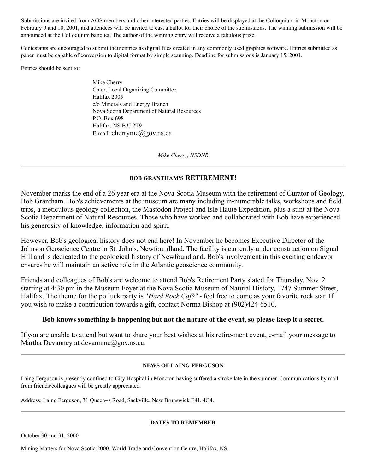Submissions are invited from AGS members and other interested parties. Entries will be displayed at the Colloquium in Moncton on February 9 and 10, 2001, and attendees will be invited to cast a ballot for their choice of the submissions. The winning submission will be announced at the Colloquium banquet. The author of the winning entry will receive a fabulous prize.

Contestants are encouraged to submit their entries as digital files created in any commonly used graphics software. Entries submitted as paper must be capable of conversion to digital format by simple scanning. Deadline for submissions is January 15, 2001.

Entries should be sent to:

Mike Cherry Chair, Local Organizing Committee Halifax 2005 c/o Minerals and Energy Branch Nova Scotia Department of Natural Resources P.O. Box 698 Halifax, NS B3J 2T9 E-mail: cherryme@gov.ns.ca

*Mike Cherry, NSDNR*

#### **BOB GRANTHAM'S RETIREMENT!**

November marks the end of a 26 year era at the Nova Scotia Museum with the retirement of Curator of Geology, Bob Grantham. Bob's achievements at the museum are many including in-numerable talks, workshops and field trips, a meticulous geology collection, the Mastodon Project and Isle Haute Expedition, plus a stint at the Nova Scotia Department of Natural Resources. Those who have worked and collaborated with Bob have experienced his generosity of knowledge, information and spirit.

However, Bob's geological history does not end here! In November he becomes Executive Director of the Johnson Geoscience Centre in St. John's, Newfoundland. The facility is currently under construction on Signal Hill and is dedicated to the geological history of Newfoundland. Bob's involvement in this exciting endeavor ensures he will maintain an active role in the Atlantic geoscience community.

Friends and colleagues of Bob's are welcome to attend Bob's Retirement Party slated for Thursday, Nov. 2 starting at 4:30 pm in the Museum Foyer at the Nova Scotia Museum of Natural History, 1747 Summer Street, Halifax. The theme for the potluck party is "*Hard Rock Café"* - feel free to come as your favorite rock star. If you wish to make a contribution towards a gift, contact Norma Bishop at (902)424-6510.

#### **Bob knows something is happening but not the nature of the event, so please keep it a secret.**

If you are unable to attend but want to share your best wishes at his retire-ment event, e-mail your message to Martha Devanney at devannme@gov.ns.ca.

#### **NEWS OF LAING FERGUSON**

Laing Ferguson is presently confined to City Hospital in Moncton having suffered a stroke late in the summer. Communications by mail from friends/colleagues will be greatly appreciated.

Address: Laing Ferguson, 31 Queen=s Road, Sackville, New Brunswick E4L 4G4.

#### **DATES TO REMEMBER**

October 30 and 31, 2000

Mining Matters for Nova Scotia 2000. World Trade and Convention Centre, Halifax, NS.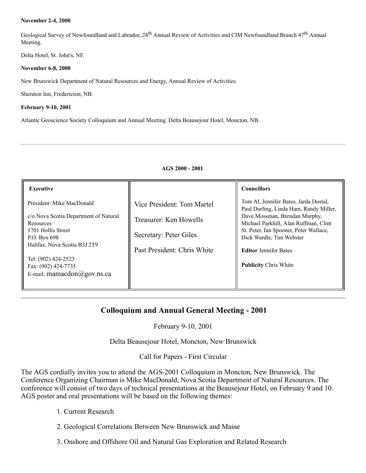#### **November 2-4, 2000**

Geological Survey of Newfoundland and Labrador, 24<sup>th</sup> Annual Review of Activities and CIM Newfoundland Branch 47<sup>th</sup> Annual Meeting.

Delta Hotel, St. John's, NF.

#### **November 6-8, 2000**

New Brunswick Department of Natural Resources and Energy, Annual Review of Activities.

Sheraton Inn, Fredericton, NB.

#### **February 9-10, 2001**

Atlantic Geoscience Society Colloquium and Annual Meeting. Delta Beausejour Hotel, Moncton, NB.

#### **AGS 2000 - 2001**

| <b>Executive</b>                                                                                                                                                                                                                                             |                                                                                                               | <b>Councillors</b>                                                                                                                                                                                                                                                                              |
|--------------------------------------------------------------------------------------------------------------------------------------------------------------------------------------------------------------------------------------------------------------|---------------------------------------------------------------------------------------------------------------|-------------------------------------------------------------------------------------------------------------------------------------------------------------------------------------------------------------------------------------------------------------------------------------------------|
| President: Mike MacDonald<br>c/o Nova Scotia Department of Natural<br>Resources<br>1701 Hollis Street<br>P.O. Box 698<br>Halifax, Nova Scotia B3J 2T9<br>Tel: (902) 424-2523<br>Fax: (902) 424-7735<br>E-mail: mamacdon $(\partial \text{gov}.\text{ns.ca})$ | Vice President: Tom Martel<br>Treasurer: Ken Howells<br>Secretary: Peter Giles<br>Past President: Chris White | Tom Al, Jennifer Bates, Jarda Dostal,<br>Paul Durling, Linda Ham, Randy Miller,<br>Dave Mossman, Brendan Murphy,<br>Michael Parkhill, Alan Ruffman, Clint<br>St. Peter, Ian Spooner, Peter Wallace,<br>Dick Wardle, Tim Webster<br><b>Editor Jennifer Bates</b><br><b>Publicity Chris White</b> |
|                                                                                                                                                                                                                                                              |                                                                                                               |                                                                                                                                                                                                                                                                                                 |

# **Colloquium and Annual General Meeting - 2001**

February 9-10, 2001

Delta Beausejour Hotel, Moncton, New Brunswick

Call for Papers - First Circular

The AGS cordially invites you to attend the AGS-2001 Colloquium in Moncton, New Brunswick. The Conference Organizing Chairman is Mike MacDonald, Nova Scotia Department of Natural Resources. The conference will consist of two days of technical presentations at the Beausejour Hotel, on February 9 and 10. AGS poster and oral presentations will be based on the following themes:

- 1. Current Research
- 2. Geological Correlations Between New Brunswick and Maine
- 3. Onshore and Offshore Oil and Natural Gas Exploration and Related Research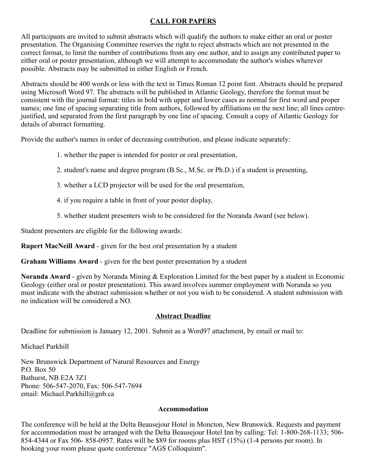# **CALL FOR PAPERS**

All participants are invited to submit abstracts which will qualify the authors to make either an oral or poster presentation. The Organising Committee reserves the right to reject abstracts which are not presented in the correct format, to limit the number of contributions from any one author, and to assign any contributed paper to either oral or poster presentation, although we will attempt to accommodate the author's wishes wherever possible. Abstracts may be submitted in either English or French.

Abstracts should be 400 words or less with the text in Times Roman 12 point font. Abstracts should be prepared using Microsoft Word 97. The abstracts will be published in Atlantic Geology, therefore the format must be consistent with the journal format: titles in bold with upper and lower cases as normal for first word and proper names; one line of spacing separating title from authors, followed by affiliations on the next line; all lines centrejustified, and separated from the first paragraph by one line of spacing. Consult a copy of Atlantic Geology for details of abstract formatting.

Provide the author's names in order of decreasing contribution, and please indicate separately:

- 1. whether the paper is intended for poster or oral presentation,
- 2. student's name and degree program (B.Sc., M.Sc. or Ph.D.) if a student is presenting,
- 3. whether a LCD projector will be used for the oral presentation,
- 4. if you require a table in front of your poster display,
- 5. whether student presenters wish to be considered for the Noranda Award (see below).

Student presenters are eligible for the following awards:

**Rupert MacNeill Award** - given for the best oral presentation by a student

**Graham Williams Award** - given for the best poster presentation by a student

**Noranda Award** - given by Noranda Mining & Exploration Limited for the best paper by a student in Economic Geology (either oral or poster presentation). This award involves summer employment with Noranda so you must indicate with the abstract submission whether or not you wish to be considered. A student submission with no indication will be considered a NO.

# **Abstract Deadline**

Deadline for submission is January 12, 2001. Submit as a Word97 attachment, by email or mail to:

Michael Parkhill

New Brunswick Department of Natural Resources and Energy P.O. Box 50 Bathurst, NB E2A 3Z1 Phone: 506-547-2070, Fax: 506-547-7694 email: Michael.Parkhill@gnb.ca

# **Accommodation**

The conference will be held at the Delta Beausejour Hotel in Moncton, New Brunswick. Requests and payment for accommodation must be arranged with the Delta Beausejour Hotel Inn by calling: Tel: 1-800-268-1133; 506- 854-4344 or Fax 506- 858-0957. Rates will be \$89 for rooms plus HST (15%) (1-4 persons per room). In booking your room please quote conference "AGS Colloquium".